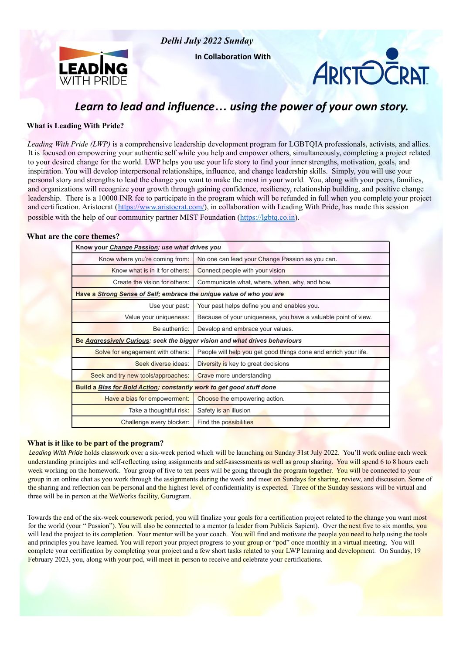

*Delhi July 2022 Sunday*

**In Collaboration With**



# *Learn to lead and influence… using the power of your own story.*

### **What is Leading With Pride?**

*Leading With Pride (LWP)* is a comprehensive leadership development program for LGBTQIA professionals, activists, and allies. It is focused on empowering your authentic self while you help and empower others, simultaneously, completing a project related to your desired change for the world. LWP helps you use your life story to find your inner strengths, motivation, goals, and inspiration. You will develop interpersonal relationships, influence, and change leadership skills. Simply, you will use your personal story and strengths to lead the change you want to make the most in your world. You, along with your peers, families, and organizations will recognize your growth through gaining confidence, resiliency, relationship building, and positive change leadership. There is a 10000 INR fee to participate in the program which will be refunded in full when you complete your project and certification. Aristocrat ([https://www.aristocrat.com/\)](https://www.aristocrat.com/), in collaboration with Leading With Pride, has made this session possible with the help of our community partner MIST Foundation (https://lgbtq.co.in).

#### **What are the core themes?**

| Know your Change Passion; use what drives you                              |                                                                 |  |  |
|----------------------------------------------------------------------------|-----------------------------------------------------------------|--|--|
| Know where you're coming from:                                             | No one can lead your Change Passion as you can.                 |  |  |
| Know what is in it for others:                                             | Connect people with your vision                                 |  |  |
| Create the vision for others:                                              | Communicate what, where, when, why, and how.                    |  |  |
| Have a Strong Sense of Self; embrace the unique value of who you are       |                                                                 |  |  |
| Use your past:                                                             | Your past helps define you and enables you.                     |  |  |
| Value your uniqueness:                                                     | Because of your uniqueness, you have a valuable point of view.  |  |  |
| Be authentic:                                                              | Develop and embrace your values.                                |  |  |
| Be Aggressively Curious; seek the bigger vision and what drives behaviours |                                                                 |  |  |
| Solve for engagement with others:                                          | People will help you get good things done and enrich your life. |  |  |
| Seek diverse ideas:                                                        | Diversity is key to great decisions                             |  |  |
| Seek and try new tools/approaches:                                         | Crave more understanding                                        |  |  |
| Build a Bias for Bold Action; constantly work to get good stuff done       |                                                                 |  |  |
| Have a bias for empowerment:                                               | Choose the empowering action.                                   |  |  |
| Take a thoughtful risk:                                                    | Safety is an illusion                                           |  |  |
| Challenge every blocker:                                                   | Find the possibilities                                          |  |  |

#### **What is it like to be part of the program?**

*Leading With Pride* holds classwork over a six-week period which will be launching on Sunday 31st July 2022. You'll work online each week understanding principles and self-reflecting using assignments and self-assessments as well as group sharing. You will spend 6 to 8 hours each week working on the homework. Your group of five to ten peers will be going through the program together. You will be connected to your group in an online chat as you work through the assignments during the week and meet on Sundays for sharing, review, and discussion. Some of the sharing and reflection can be personal and the highest level of confidentiality is expected. Three of the Sunday sessions will be virtual and three will be in person at the WeWorks facility, Gurugram.

Towards the end of the six-week coursework period, you will finalize your goals for a certification project related to the change you want most for the world (your " Passion"). You will also be connected to a mentor (a leader from Publicis Sapient). Over the next five to six months, you will lead the project to its completion. Your mentor will be your coach. You will find and motivate the people you need to help using the tools and principles you have learned. You will report your project progress to your group or "pod" once monthly in a virtual meeting. You will complete your certification by completing your project and a few short tasks related to your LWP learning and development. On Sunday, 19 February 2023, you, along with your pod, will meet in person to receive and celebrate your certifications.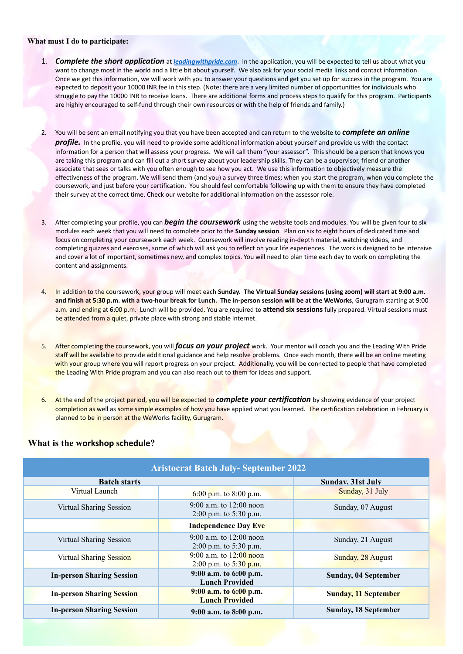#### **What must I do to participate:**

- 1. *Complete the short application* at *leadingwithpride.com*. In the application, you will be expected to tell us about what you want to change most in the world and a little bit about yourself. We also ask for your social media links and contact information. Once we get this information, we will work with you to answer your questions and get you set up for success in the program. You are expected to deposit your 10000 INR fee in this step. (Note: there are a very limited number of opportunities for individuals who struggle to pay the 10000 INR to receive loans. There are additional forms and process steps to qualify for this program. Participants are highly encouraged to self-fund through their own resources or with the help of friends and family.)
- 2. You will be sent an email notifying you that you have been accepted and can return to the website to *complete an online profile.* In the profile, you will need to provide some additional information about yourself and provide us with the contact information for a person that will assess your progress. We will call them "your assessor". This should be a person that knows you are taking this program and can fill out a short survey about your leadership skills. They can be a supervisor, friend or another associate that sees or talks with you often enough to see how you act. We use this information to objectively measure the effectiveness of the program. We will send them (and you) a survey three times; when you start the program, when you complete the coursework, and just before your certification. You should feel comfortable following up with them to ensure they have completed their survey at the correct time. Check our website for additional information on the assessor role.
- 3. After completing your profile, you can *begin the coursework* using the website tools and modules. You will be given four to six modules each week that you will need to complete prior to the **Sunday session**. Plan on six to eight hours of dedicated time and focus on completing your coursework each week. Coursework will involve reading in-depth material, watching videos, and completing quizzes and exercises, some of which will ask you to reflect on your life experiences. The work is designed to be intensive and cover a lot of important, sometimes new, and complex topics. You will need to plan time each day to work on completing the content and assignments.
- 4. In addition to the coursework, your group will meet each **Sunday. The Virtual Sunday sessions (using zoom) will start at 9:00 a.m. and finish at 5:30 p.m. with a two-hour break for Lunch. The in-person session will be at the WeWorks**, Gurugram starting at 9:00 a.m. and ending at 6:00 p.m. Lunch will be provided. You are required to **attend six sessions** fully prepared. Virtual sessions must be attended from a quiet, private place with strong and stable internet.
- 5. After completing the coursework, you will *focus on your project* work. Your mentor will coach you and the Leading With Pride staff will be available to provide additional guidance and help resolve problems. Once each month, there will be an online meeting with your group where you will report progress on your project. Additionally, you will be connected to people that have completed the Leading With Pride program and you can also reach out to them for ideas and support.
- 6. At the end of the project period, you will be expected to *complete your certification* by showing evidence of your project completion as well as some simple examples of how you have applied what you learned. The certification celebration in February is planned to be in person at the WeWorks facility, Gurugram.

## **What is the workshop schedule?**

| <b>Aristocrat Batch July- September 2022</b> |                                                       |                             |  |
|----------------------------------------------|-------------------------------------------------------|-----------------------------|--|
| <b>Batch starts</b>                          |                                                       | <b>Sunday, 31st July</b>    |  |
| Virtual Launch                               | 6:00 p.m. to 8:00 p.m.                                | Sunday, 31 July             |  |
| Virtual Sharing Session                      | 9:00 a.m. to $12:00$ noon<br>2:00 p.m. to $5:30$ p.m. | Sunday, 07 August           |  |
|                                              | <b>Independence Day Eve</b>                           |                             |  |
| Virtual Sharing Session                      | 9:00 a.m. to $12:00$ noon                             | Sunday, 21 August           |  |
|                                              | $2:00$ p.m. to 5:30 p.m.                              |                             |  |
| <b>Virtual Sharing Session</b>               | 9:00 a.m. to $12:00$ noon                             | Sunday, 28 August           |  |
|                                              | 2:00 p.m. to $5:30$ p.m.                              |                             |  |
| <b>In-person Sharing Session</b>             | 9:00 a.m. to 6:00 p.m.<br><b>Lunch Provided</b>       | Sunday, 04 September        |  |
| <b>In-person Sharing Session</b>             | $9:00$ a.m. to $6:00$ p.m.<br><b>Lunch Provided</b>   | <b>Sunday, 11 September</b> |  |
| <b>In-person Sharing Session</b>             | $9:00$ a.m. to $8:00$ p.m.                            | <b>Sunday, 18 September</b> |  |